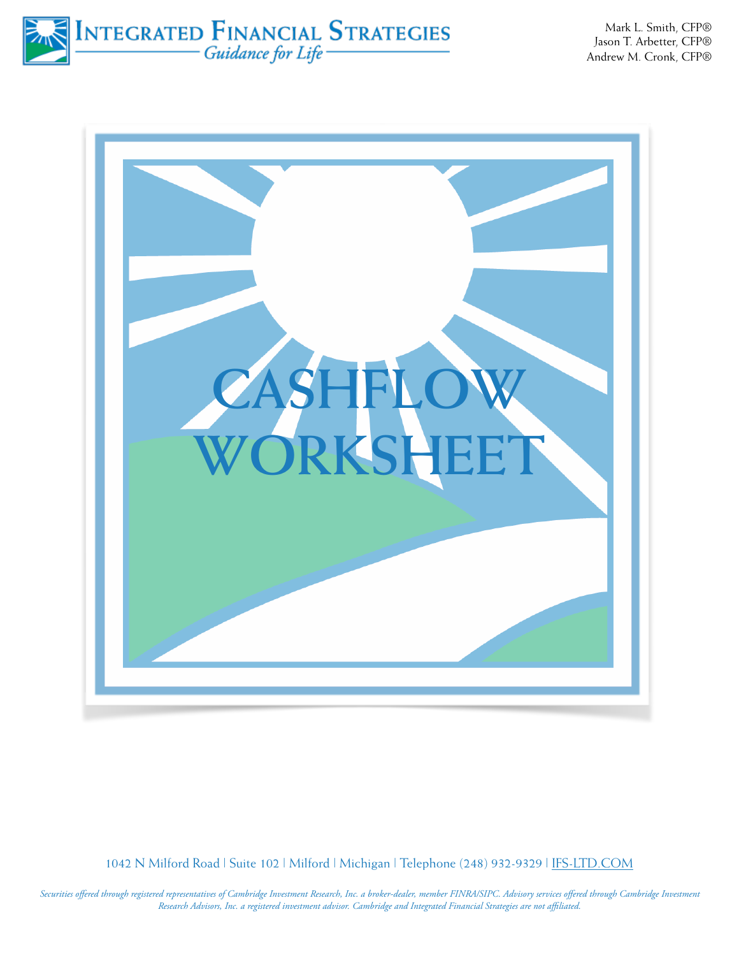INTEGRATED FINANCIAL STRATEGIES

Mark L. Smith, CFP® Jason T. Arbetter, CFP® Andrew M. Cronk, CFP®



1042 N Milford Road | Suite 102 | Milford | Michigan | Telephone (248) 932-9329 | [IFS-LTD.COM](http://IFS-LTD.COM)

*Securities offered through registered representatives of Cambridge Investment Research, Inc. a broker-dealer, member FINRA/SIPC. Advisory services offered through Cambridge Investment Research Advisors, Inc. a registered investment advisor. Cambridge and Integrated Financial Strategies are not affiliated.*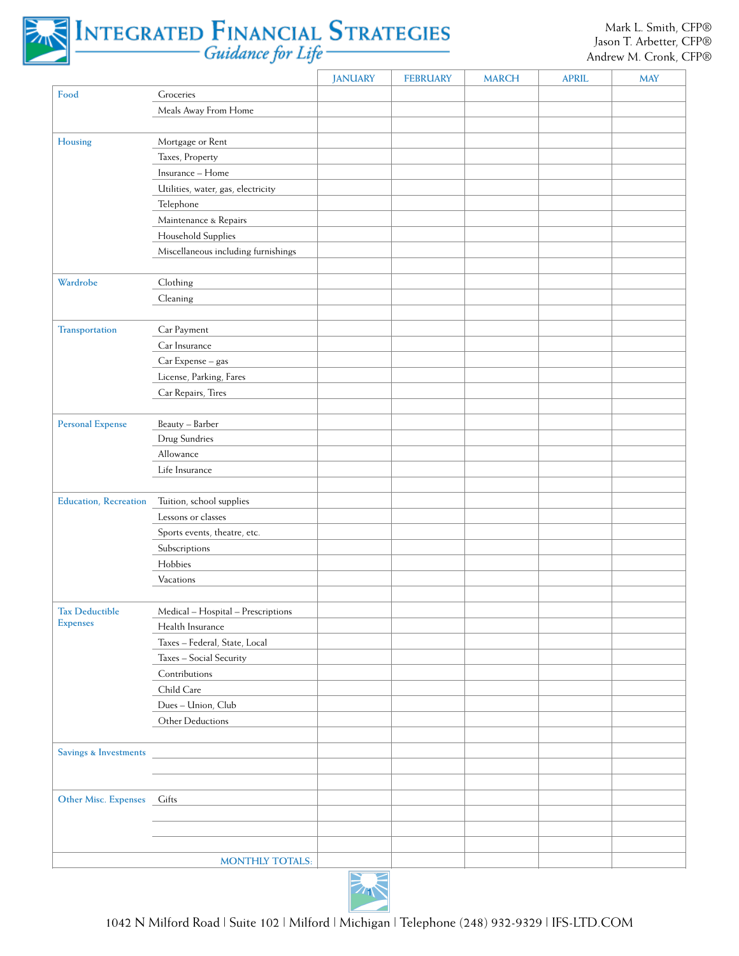

## INTEGRATED FINANCIAL STRATEGIES

|                               |                                        | <b>JANUARY</b> | <b>FEBRUARY</b> | <b>MARCH</b> | <b>APRIL</b> | <b>MAY</b> |
|-------------------------------|----------------------------------------|----------------|-----------------|--------------|--------------|------------|
| Food                          | Groceries                              |                |                 |              |              |            |
|                               | Meals Away From Home                   |                |                 |              |              |            |
|                               |                                        |                |                 |              |              |            |
| Housing                       | Mortgage or Rent                       |                |                 |              |              |            |
|                               | Taxes, Property                        |                |                 |              |              |            |
|                               | Insurance - Home                       |                |                 |              |              |            |
|                               | Utilities, water, gas, electricity     |                |                 |              |              |            |
|                               | Telephone                              |                |                 |              |              |            |
|                               | Maintenance & Repairs                  |                |                 |              |              |            |
|                               | Household Supplies                     |                |                 |              |              |            |
|                               | Miscellaneous including furnishings    |                |                 |              |              |            |
|                               |                                        |                |                 |              |              |            |
| Wardrobe                      | Clothing                               |                |                 |              |              |            |
|                               | Cleaning                               |                |                 |              |              |            |
|                               |                                        |                |                 |              |              |            |
| Transportation                | Car Payment                            |                |                 |              |              |            |
|                               | Car Insurance                          |                |                 |              |              |            |
|                               | Car Expense - gas                      |                |                 |              |              |            |
|                               | License, Parking, Fares                |                |                 |              |              |            |
|                               | Car Repairs, Tires                     |                |                 |              |              |            |
|                               |                                        |                |                 |              |              |            |
| <b>Personal Expense</b>       | Beauty - Barber                        |                |                 |              |              |            |
|                               | Drug Sundries                          |                |                 |              |              |            |
|                               | Allowance                              |                |                 |              |              |            |
|                               | Life Insurance                         |                |                 |              |              |            |
|                               |                                        |                |                 |              |              |            |
| <b>Education</b> , Recreation | Tuition, school supplies               |                |                 |              |              |            |
|                               | Lessons or classes                     |                |                 |              |              |            |
|                               | Sports events, theatre, etc.           |                |                 |              |              |            |
|                               | Subscriptions                          |                |                 |              |              |            |
|                               | Hobbies                                |                |                 |              |              |            |
|                               | Vacations                              |                |                 |              |              |            |
|                               |                                        |                |                 |              |              |            |
| <b>Tax Deductible</b>         | Medical - Hospital - Prescriptions     |                |                 |              |              |            |
| <b>Expenses</b>               | Health Insurance                       |                |                 |              |              |            |
|                               | Taxes - Federal, State, Local          |                |                 |              |              |            |
|                               | Taxes - Social Security                |                |                 |              |              |            |
|                               | Contributions                          |                |                 |              |              |            |
|                               | Child Care                             |                |                 |              |              |            |
|                               |                                        |                |                 |              |              |            |
|                               | Dues - Union, Club<br>Other Deductions |                |                 |              |              |            |
|                               |                                        |                |                 |              |              |            |
|                               |                                        |                |                 |              |              |            |
| Savings & Investments         |                                        |                |                 |              |              |            |
|                               |                                        |                |                 |              |              |            |
|                               |                                        |                |                 |              |              |            |
| Other Misc. Expenses          | Gifts                                  |                |                 |              |              |            |
|                               |                                        |                |                 |              |              |            |
|                               |                                        |                |                 |              |              |            |
|                               |                                        |                |                 |              |              |            |
|                               | <b>MONTHLY TOTALS:</b>                 |                |                 |              |              |            |

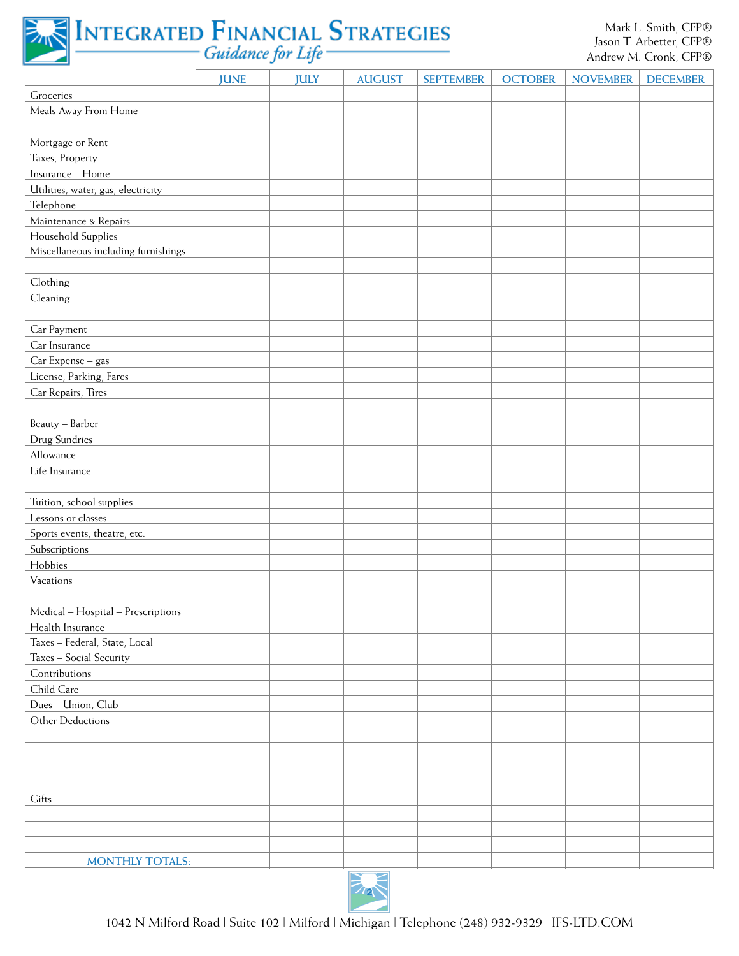

|                                     | <b>JUNE</b> | <b>JULY</b> | <b>AUGUST</b> | <b>SEPTEMBER</b> | <b>OCTOBER</b> | <b>NOVEMBER</b> | <b>DECEMBER</b> |
|-------------------------------------|-------------|-------------|---------------|------------------|----------------|-----------------|-----------------|
| Groceries                           |             |             |               |                  |                |                 |                 |
| Meals Away From Home                |             |             |               |                  |                |                 |                 |
|                                     |             |             |               |                  |                |                 |                 |
| Mortgage or Rent                    |             |             |               |                  |                |                 |                 |
| Taxes, Property                     |             |             |               |                  |                |                 |                 |
| Insurance - Home                    |             |             |               |                  |                |                 |                 |
| Utilities, water, gas, electricity  |             |             |               |                  |                |                 |                 |
| Telephone                           |             |             |               |                  |                |                 |                 |
| Maintenance & Repairs               |             |             |               |                  |                |                 |                 |
| Household Supplies                  |             |             |               |                  |                |                 |                 |
| Miscellaneous including furnishings |             |             |               |                  |                |                 |                 |
|                                     |             |             |               |                  |                |                 |                 |
| Clothing                            |             |             |               |                  |                |                 |                 |
| Cleaning                            |             |             |               |                  |                |                 |                 |
|                                     |             |             |               |                  |                |                 |                 |
| Car Payment                         |             |             |               |                  |                |                 |                 |
| Car Insurance                       |             |             |               |                  |                |                 |                 |
| Car Expense - gas                   |             |             |               |                  |                |                 |                 |
| License, Parking, Fares             |             |             |               |                  |                |                 |                 |
| Car Repairs, Tires                  |             |             |               |                  |                |                 |                 |
|                                     |             |             |               |                  |                |                 |                 |
| Beauty - Barber                     |             |             |               |                  |                |                 |                 |
| Drug Sundries                       |             |             |               |                  |                |                 |                 |
| Allowance                           |             |             |               |                  |                |                 |                 |
| Life Insurance                      |             |             |               |                  |                |                 |                 |
|                                     |             |             |               |                  |                |                 |                 |
| Tuition, school supplies            |             |             |               |                  |                |                 |                 |
| Lessons or classes                  |             |             |               |                  |                |                 |                 |
| Sports events, theatre, etc.        |             |             |               |                  |                |                 |                 |
| Subscriptions                       |             |             |               |                  |                |                 |                 |
| Hobbies                             |             |             |               |                  |                |                 |                 |
| Vacations                           |             |             |               |                  |                |                 |                 |
|                                     |             |             |               |                  |                |                 |                 |
| Medical - Hospital - Prescriptions  |             |             |               |                  |                |                 |                 |
| Health Insurance                    |             |             |               |                  |                |                 |                 |
| Taxes - Federal, State, Local       |             |             |               |                  |                |                 |                 |
| Taxes - Social Security             |             |             |               |                  |                |                 |                 |
| Contributions                       |             |             |               |                  |                |                 |                 |
| Child Care                          |             |             |               |                  |                |                 |                 |
| Dues - Union, Club                  |             |             |               |                  |                |                 |                 |
| Other Deductions                    |             |             |               |                  |                |                 |                 |
|                                     |             |             |               |                  |                |                 |                 |
|                                     |             |             |               |                  |                |                 |                 |
|                                     |             |             |               |                  |                |                 |                 |
|                                     |             |             |               |                  |                |                 |                 |
| Gifts                               |             |             |               |                  |                |                 |                 |
|                                     |             |             |               |                  |                |                 |                 |
|                                     |             |             |               |                  |                |                 |                 |
|                                     |             |             |               |                  |                |                 |                 |
| <b>MONTHLY TOTALS:</b>              |             |             |               |                  |                |                 |                 |